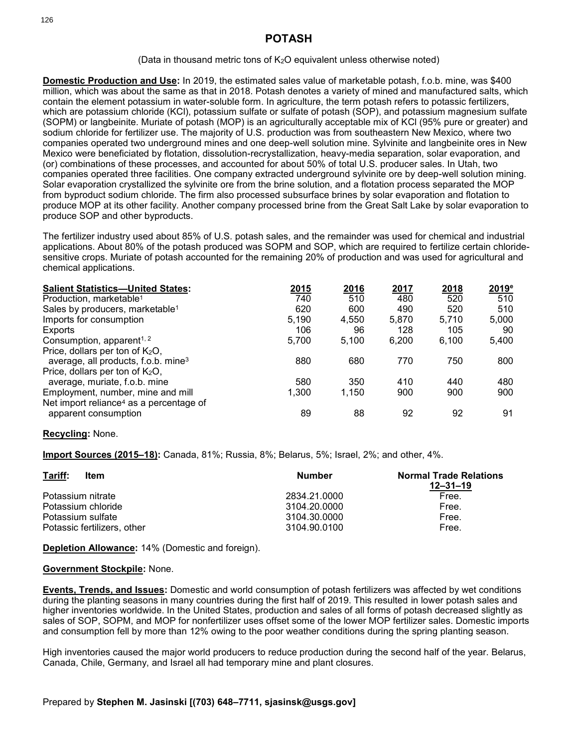(Data in thousand metric tons of  $K<sub>2</sub>O$  equivalent unless otherwise noted)

**Domestic Production and Use:** In 2019, the estimated sales value of marketable potash, f.o.b. mine, was \$400 million, which was about the same as that in 2018. Potash denotes a variety of mined and manufactured salts, which contain the element potassium in water-soluble form. In agriculture, the term potash refers to potassic fertilizers, which are potassium chloride (KCl), potassium sulfate or sulfate of potash (SOP), and potassium magnesium sulfate (SOPM) or langbeinite. Muriate of potash (MOP) is an agriculturally acceptable mix of KCl (95% pure or greater) and sodium chloride for fertilizer use. The majority of U.S. production was from southeastern New Mexico, where two companies operated two underground mines and one deep-well solution mine. Sylvinite and langbeinite ores in New Mexico were beneficiated by flotation, dissolution-recrystallization, heavy-media separation, solar evaporation, and (or) combinations of these processes, and accounted for about 50% of total U.S. producer sales. In Utah, two companies operated three facilities. One company extracted underground sylvinite ore by deep-well solution mining. Solar evaporation crystallized the sylvinite ore from the brine solution, and a flotation process separated the MOP from byproduct sodium chloride. The firm also processed subsurface brines by solar evaporation and flotation to produce MOP at its other facility. Another company processed brine from the Great Salt Lake by solar evaporation to produce SOP and other byproducts.

The fertilizer industry used about 85% of U.S. potash sales, and the remainder was used for chemical and industrial applications. About 80% of the potash produced was SOPM and SOP, which are required to fertilize certain chloridesensitive crops. Muriate of potash accounted for the remaining 20% of production and was used for agricultural and chemical applications.

| <b>Salient Statistics-United States:</b>            | <u>2015</u> | 2016  | 2017  | <u>2018</u> | 2019 <sup>e</sup> |
|-----------------------------------------------------|-------------|-------|-------|-------------|-------------------|
| Production, marketable <sup>1</sup>                 | 740         | 510   | 480   | 520         | 510               |
| Sales by producers, marketable <sup>1</sup>         | 620         | 600   | 490   | 520         | 510               |
| Imports for consumption                             | 5.190       | 4,550 | 5,870 | 5.710       | 5,000             |
| Exports                                             | 106         | 96    | 128   | 105         | 90                |
| Consumption, apparent <sup>1, 2</sup>               | 5,700       | 5,100 | 6,200 | 6,100       | 5,400             |
| Price, dollars per ton of $K_2O$ ,                  |             |       |       |             |                   |
| average, all products, f.o.b. mine <sup>3</sup>     | 880         | 680   | 770   | 750         | 800               |
| Price, dollars per ton of $K_2O$ ,                  |             |       |       |             |                   |
| average, muriate, f.o.b. mine                       | 580         | 350   | 410   | 440         | 480               |
| Employment, number, mine and mill                   | 1.300       | 1,150 | 900   | 900         | 900               |
| Net import reliance <sup>4</sup> as a percentage of |             |       |       |             |                   |
| apparent consumption                                | 89          | 88    | 92    | 92          | 91                |

## **Recycling:** None.

**Import Sources (2015–18):** Canada, 81%; Russia, 8%; Belarus, 5%; Israel, 2%; and other, 4%.

| Tariff:<br>Item             | <b>Number</b> | <b>Normal Trade Relations</b><br>$12 - 31 - 19$ |  |
|-----------------------------|---------------|-------------------------------------------------|--|
| Potassium nitrate           | 2834.21.0000  | Free.                                           |  |
| Potassium chloride          | 3104.20.0000  | Free.                                           |  |
| Potassium sulfate           | 3104.30.0000  | Free.                                           |  |
| Potassic fertilizers, other | 3104.90.0100  | Free.                                           |  |

**Depletion Allowance:** 14% (Domestic and foreign).

## **Government Stockpile:** None.

**Events, Trends, and Issues:** Domestic and world consumption of potash fertilizers was affected by wet conditions during the planting seasons in many countries during the first half of 2019. This resulted in lower potash sales and higher inventories worldwide. In the United States, production and sales of all forms of potash decreased slightly as sales of SOP, SOPM, and MOP for nonfertilizer uses offset some of the lower MOP fertilizer sales. Domestic imports and consumption fell by more than 12% owing to the poor weather conditions during the spring planting season.

High inventories caused the major world producers to reduce production during the second half of the year. Belarus, Canada, Chile, Germany, and Israel all had temporary mine and plant closures.